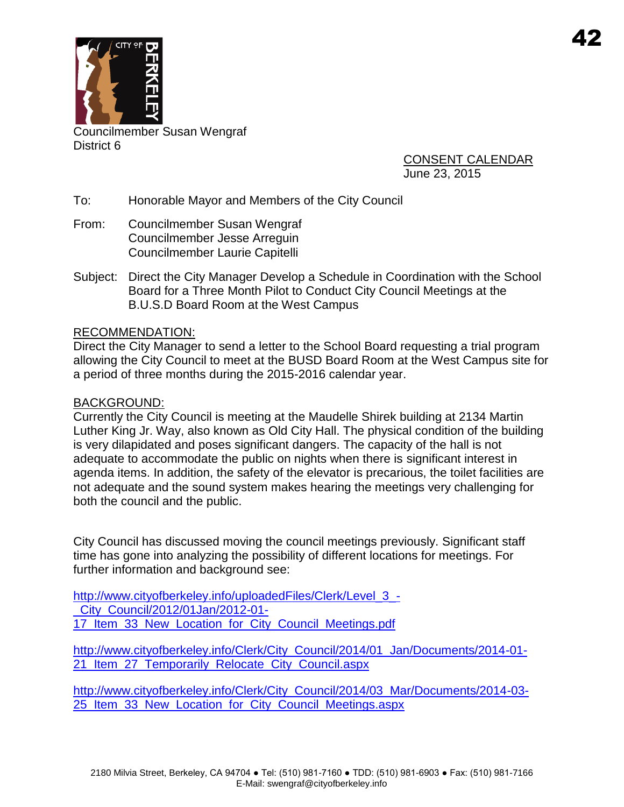

Councilmember Susan Wengraf District 6

CONSENT CALENDAR June 23, 2015

- To: Honorable Mayor and Members of the City Council
- From: Councilmember Susan Wengraf Councilmember Jesse Arreguin Councilmember Laurie Capitelli
- Subject: Direct the City Manager Develop a Schedule in Coordination with the School Board for a Three Month Pilot to Conduct City Council Meetings at the B.U.S.D Board Room at the West Campus

## RECOMMENDATION:

Direct the City Manager to send a letter to the School Board requesting a trial program allowing the City Council to meet at the BUSD Board Room at the West Campus site for a period of three months during the 2015-2016 calendar year.

## BACKGROUND:

Currently the City Council is meeting at the Maudelle Shirek building at 2134 Martin Luther King Jr. Way, also known as Old City Hall. The physical condition of the building is very dilapidated and poses significant dangers. The capacity of the hall is not adequate to accommodate the public on nights when there is significant interest in agenda items. In addition, the safety of the elevator is precarious, the toilet facilities are not adequate and the sound system makes hearing the meetings very challenging for both the council and the public.

City Council has discussed moving the council meetings previously. Significant staff time has gone into analyzing the possibility of different locations for meetings. For further information and background see:

http://www.cityofberkeley.info/uploadedFiles/Clerk/Level 3 -[\\_City\\_Council/2012/01Jan/2012-01-](http://www.cityofberkeley.info/uploadedFiles/Clerk/Level_3_-_City_Council/2012/01Jan/2012-01-17_Item_33_New_Location_for_City_Council_Meetings.pdf) 17 Item 33 New Location for City Council Meetings.pdf

[http://www.cityofberkeley.info/Clerk/City\\_Council/2014/01\\_Jan/Documents/2014-01-](http://www.cityofberkeley.info/Clerk/City_Council/2014/01_Jan/Documents/2014-01-21_Item_27_Temporarily_Relocate_City_Council.aspx) 21 Item 27 Temporarily Relocate City Council.aspx

[http://www.cityofberkeley.info/Clerk/City\\_Council/2014/03\\_Mar/Documents/2014-03-](http://www.cityofberkeley.info/Clerk/City_Council/2014/03_Mar/Documents/2014-03-25_Item_33_New_Location_for_City_Council_Meetings.aspx) [25\\_Item\\_33\\_New\\_Location\\_for\\_City\\_Council\\_Meetings.aspx](http://www.cityofberkeley.info/Clerk/City_Council/2014/03_Mar/Documents/2014-03-25_Item_33_New_Location_for_City_Council_Meetings.aspx)